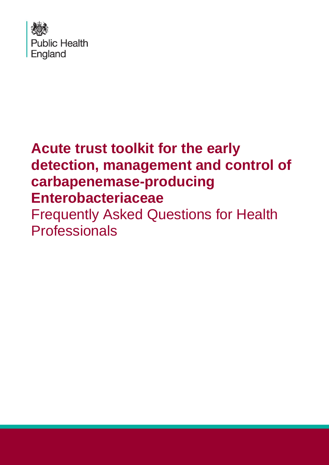

## **Acute trust toolkit for the early detection, management and control of carbapenemase-producing Enterobacteriaceae**  Frequently Asked Questions for Health **Professionals**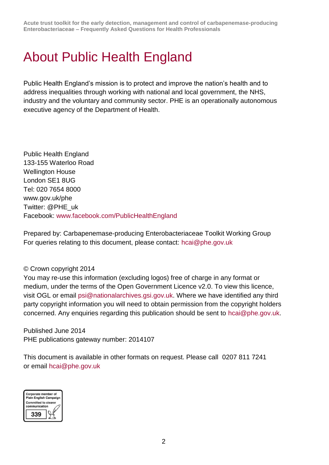**Acute trust toolkit for the early detection, management and control of carbapenemase-producing Enterobacteriaceae – Frequently Asked Questions for Health Professionals**

### About Public Health England

Public Health England's mission is to protect and improve the nation's health and to address inequalities through working with national and local government, the NHS, industry and the voluntary and community sector. PHE is an operationally autonomous executive agency of the Department of Health.

Public Health England 133-155 Waterloo Road Wellington House London SE1 8UG Tel: 020 7654 8000 [www.gov.uk/phe](http://www.gov.uk/phe) Twitter: [@PHE\\_uk](https://twitter.com/PHE_uk) Facebook: [www.facebook.com/PublicHealthEngland](http://www.facebook.com/PublicHealthEngland)

Prepared by: Carbapenemase-producing Enterobacteriaceae Toolkit Working Group For queries relating to this document, please contact: [hcai@phe.gov.uk](mailto:hcai@phe.gov.uk)

#### © Crown copyright 2014

You may re-use this information (excluding logos) free of charge in any format or medium, under the terms of the Open Government Licence v2.0. To view this licence, visit OGL or email [psi@nationalarchives.gsi.gov.uk.](mailto:psi@nationalarchives.gsi.gov.uk) Where we have identified any third party copyright information you will need to obtain permission from the copyright holders concerned. Any enquiries regarding this publication should be sent to [hcai@phe.gov.uk.](mailto:hcai@phe.gov.uk)

Published June 2014 PHE publications gateway number: 2014107

This document is available in other formats on request. Please call 0207 811 7241 or email [hcai@phe.gov.uk](mailto:hcai@phe.gov.uk)

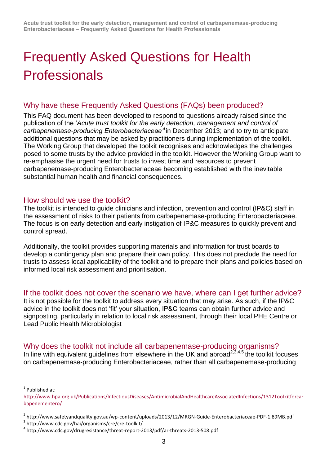# Frequently Asked Questions for Health **Professionals**

#### Why have these Frequently Asked Questions (FAQs) been produced?

This FAQ document has been developed to respond to questions already raised since the publication of the '*Acute trust toolkit for the early detection, management and control of carbapenemase-producing Enterobacteriaceae'<sup>1</sup>* in December 2013; and to try to anticipate additional questions that may be asked by practitioners during implementation of the toolkit. The Working Group that developed the toolkit recognises and acknowledges the challenges posed to some trusts by the advice provided in the toolkit. However the Working Group want to re-emphasise the urgent need for trusts to invest time and resources to prevent carbapenemase-producing Enterobacteriaceae becoming established with the inevitable substantial human health and financial consequences.

#### How should we use the toolkit?

The toolkit is intended to guide clinicians and infection, prevention and control (IP&C) staff in the assessment of risks to their patients from carbapenemase-producing Enterobacteriaceae. The focus is on early detection and early instigation of IP&C measures to quickly prevent and control spread.

Additionally, the toolkit provides supporting materials and information for trust boards to develop a contingency plan and prepare their own policy. This does not preclude the need for trusts to assess local applicability of the toolkit and to prepare their plans and policies based on informed local risk assessment and prioritisation.

#### If the toolkit does not cover the scenario we have, where can I get further advice?

It is not possible for the toolkit to address every situation that may arise. As such, if the IP&C advice in the toolkit does not 'fit' your situation, IP&C teams can obtain further advice and signposting, particularly in relation to local risk assessment, through their local PHE Centre or Lead Public Health Microbiologist

Why does the toolkit not include all carbapenemase-producing organisms? In line with equivalent guidelines from elsewhere in the UK and abroad<sup>2,3,4,5</sup> the toolkit focuses on carbapenemase-producing Enterobacteriaceae, rather than all carbapenemase-producing

l

<sup>&</sup>lt;sup>1</sup> Published at:

[http://www.hpa.org.uk/Publications/InfectiousDiseases/AntimicrobialAndHealthcareAssociatedInfections/1312Toolkitforcar](http://www.hpa.org.uk/Publications/InfectiousDiseases/AntimicrobialAndHealthcareAssociatedInfections/1312Toolkitforcarbapenementero/) [bapenementero/](http://www.hpa.org.uk/Publications/InfectiousDiseases/AntimicrobialAndHealthcareAssociatedInfections/1312Toolkitforcarbapenementero/)

<sup>&</sup>lt;sup>2</sup> http://www.safetyandquality.gov.au/wp-content/uploads/2013/12/MRGN-Guide-Enterobacteriaceae-PDF-1.89MB.pdf

<sup>3</sup> http://www.cdc.gov/hai/organisms/cre/cre-toolkit/

<sup>4</sup> http://www.cdc.gov/drugresistance/threat-report-2013/pdf/ar-threats-2013-508.pdf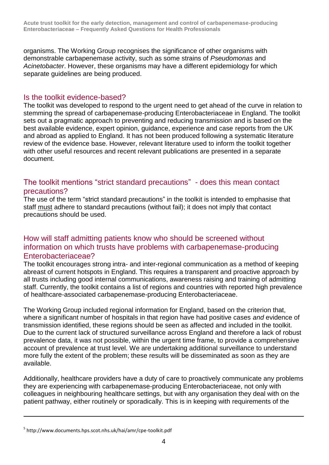organisms. The Working Group recognises the significance of other organisms with demonstrable carbapenemase activity, such as some strains of *Pseudomonas* and *Acinetobacter*. However, these organisms may have a different epidemiology for which separate guidelines are being produced.

#### Is the toolkit evidence-based?

The toolkit was developed to respond to the urgent need to get ahead of the curve in relation to stemming the spread of carbapenemase-producing Enterobacteriaceae in England. The toolkit sets out a pragmatic approach to preventing and reducing transmission and is based on the best available evidence, expert opinion, guidance, experience and case reports from the UK and abroad as applied to England. It has not been produced following a systematic literature review of the evidence base. However, relevant literature used to inform the toolkit together with other useful resources and recent relevant publications are presented in a separate document.

#### The toolkit mentions "strict standard precautions" - does this mean contact precautions?

The use of the term "strict standard precautions" in the toolkit is intended to emphasise that staff must adhere to standard precautions (without fail); it does not imply that contact precautions should be used.

#### How will staff admitting patients know who should be screened without information on which trusts have problems with carbapenemase-producing Enterobacteriaceae?

The toolkit encourages strong intra- and inter-regional communication as a method of keeping abreast of current hotspots in England. This requires a transparent and proactive approach by all trusts including good internal communications, awareness raising and training of admitting staff. Currently, the toolkit contains a list of regions and countries with reported high prevalence of healthcare-associated carbapenemase-producing Enterobacteriaceae.

The Working Group included regional information for England, based on the criterion that, where a significant number of hospitals in that region have had positive cases *and* evidence of transmission identified, these regions should be seen as affected and included in the toolkit. Due to the current lack of structured surveillance across England and therefore a lack of robust prevalence data, it was not possible, within the urgent time frame, to provide a comprehensive account of prevalence at trust level. We are undertaking additional surveillance to understand more fully the extent of the problem; these results will be disseminated as soon as they are available.

Additionally, healthcare providers have a duty of care to proactively communicate any problems they are experiencing with carbapenemase-producing Enterobacteriaceae, not only with colleagues in neighbouring healthcare settings, but with any organisation they deal with on the patient pathway, either routinely or sporadically. This is in keeping with requirements of the

l

<sup>&</sup>lt;sup>5</sup> http://www.documents.hps.scot.nhs.uk/hai/amr/cpe-toolkit.pdf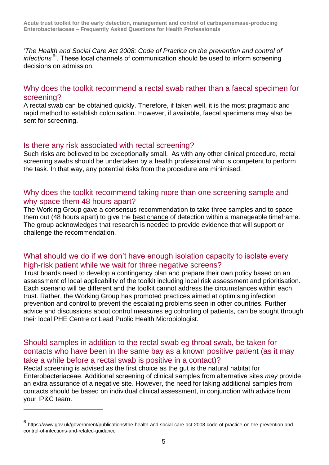'*The Health and Social Care Act 2008: Code of Practice on the prevention and control of*  infections<sup>6</sup>. These local channels of communication should be used to inform screening decisions on admission.

#### Why does the toolkit recommend a rectal swab rather than a faecal specimen for screening?

A rectal swab can be obtained quickly. Therefore, if taken well, it is the most pragmatic and rapid method to establish colonisation. However, if available, faecal specimens may also be sent for screening.

#### Is there any risk associated with rectal screening?

l

Such risks are believed to be exceptionally small. As with any other clinical procedure, rectal screening swabs should be undertaken by a health professional who is competent to perform the task. In that way, any potential risks from the procedure are minimised.

#### Why does the toolkit recommend taking more than one screening sample and why space them 48 hours apart?

The Working Group gave a consensus recommendation to take three samples and to space them out (48 hours apart) to give the best chance of detection within a manageable timeframe. The group acknowledges that research is needed to provide evidence that will support or challenge the recommendation.

#### What should we do if we don't have enough isolation capacity to isolate every high-risk patient while we wait for three negative screens?

Trust boards need to develop a contingency plan and prepare their own policy based on an assessment of local applicability of the toolkit including local risk assessment and prioritisation. Each scenario will be different and the toolkit cannot address the circumstances within each trust. Rather, the Working Group has promoted practices aimed at optimising infection prevention and control to prevent the escalating problems seen in other countries. Further advice and discussions about control measures eg cohorting of patients, can be sought through their local PHE Centre or Lead Public Health Microbiologist.

#### Should samples in addition to the rectal swab eg throat swab, be taken for contacts who have been in the same bay as a known positive patient (as it may take a while before a rectal swab is positive in a contact)?

Rectal screening is advised as the first choice as the gut is the natural habitat for Enterobacteriaceae. Additional screening of clinical samples from alternative sites *may* provide an extra assurance of a negative site. However, the need for taking additional samples from contacts should be based on individual clinical assessment, in conjunction with advice from your IP&C team.

<sup>6</sup> https://www.gov.uk/government/publications/the-health-and-social-care-act-2008-code-of-practice-on-the-prevention-andcontrol-of-infections-and-related-guidance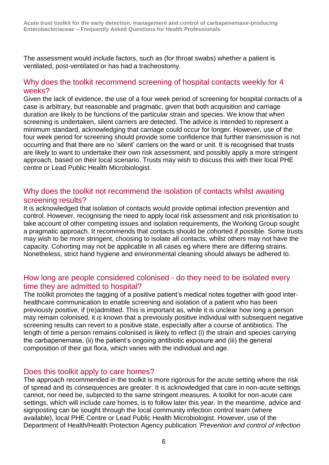The assessment would include factors, such as (for throat swabs) whether a patient is ventilated, post-ventilated or has had a tracheostomy.

#### Why does the toolkit recommend screening of hospital contacts weekly for 4 weeks?

Given the lack of evidence, the use of a four week period of screening for hospital contacts of a case is arbitrary, but reasonable and pragmatic, given that both acquisition and carriage duration are likely to be functions of the particular strain and species. We know that when screening is undertaken, silent carriers are detected. The advice is intended to represent a minimum standard, acknowledging that carriage could occur for longer. However, use of the four week period for screening should provide some confidence that further transmission is not occurring and that there are no 'silent' carriers on the ward or unit. It is recognised that trusts are likely to want to undertake their own risk assessment, and possibly apply a more stringent approach, based on their local scenario. Trusts may wish to discuss this with their local PHE centre or Lead Public Health Microbiologist.

#### Why does the toolkit not recommend the isolation of contacts whilst awaiting screening results?

It is acknowledged that isolation of contacts would provide optimal infection prevention and control. However, recognising the need to apply local risk assessment and risk prioritisation to take account of other competing issues and isolation requirements, the Working Group sought a pragmatic approach. It recommends that contacts should be cohorted if possible. Some trusts may wish to be more stringent, choosing to isolate all contacts; whilst others may not have the capacity. Cohorting may not be applicable in all cases eg where there are differing strains. Nonetheless, strict hand hygiene and environmental cleaning should always be adhered to.

#### How long are people considered colonised - do they need to be isolated every time they are admitted to hospital?

The toolkit promotes the tagging of a positive patient's medical notes together with good interhealthcare communication to enable screening and isolation of a patient who has been previously positive, if (re)admitted. This is important as, while it is unclear how long a person may remain colonised, it *is* known that a previously positive individual with subsequent negative screening results can revert to a positive state, especially after a course of antibiotics. The length of time a person remains colonised is likely to reflect (i) the strain and species carrying the carbapenemase, (ii) the patient's ongoing antibiotic exposure and (iii) the general composition of their gut flora, which varies with the individual and age.

#### Does this toolkit apply to care homes?

The approach recommended in the toolkit is more rigorous for the acute setting where the risk of spread and its consequences are greater. It is acknowledged that care in non-acute settings cannot, nor need be, subjected to the same stringent measures. A toolkit for non-acute care settings, which will include care homes, is to follow later this year. In the meantime, advice and signposting can be sought through the local community infection control team (where available), local PHE Centre or Lead Public Health Microbiologist. However, use of the Department of Health/Health Protection Agency publication *'Prevention and control of infection*